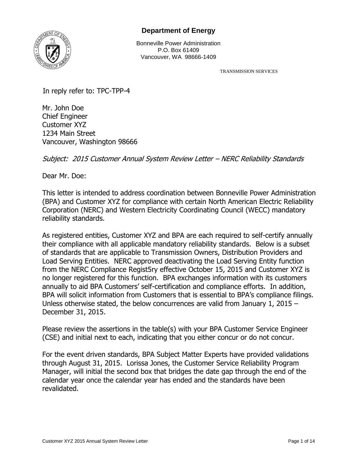## **Department of Energy**



Bonneville Power Administration P.O. Box 61409 Vancouver, WA 98666-1409

TRANSMISSION SERVICES

In reply refer to: TPC-TPP-4

Mr. John Doe Chief Engineer Customer XYZ 1234 Main Street Vancouver, Washington 98666

Subject: 2015 Customer Annual System Review Letter – NERC Reliability Standards

Dear Mr. Doe:

This letter is intended to address coordination between Bonneville Power Administration (BPA) and Customer XYZ for compliance with certain North American Electric Reliability Corporation (NERC) and Western Electricity Coordinating Council (WECC) mandatory reliability standards.

As registered entities, Customer XYZ and BPA are each required to self-certify annually their compliance with all applicable mandatory reliability standards. Below is a subset of standards that are applicable to Transmission Owners, Distribution Providers and Load Serving Entities. NERC approved deactivating the Load Serving Entity function from the NERC Compliance Regist5ry effective October 15, 2015 and Customer XYZ is no longer registered for this function. BPA exchanges information with its customers annually to aid BPA Customers' self-certification and compliance efforts. In addition, BPA will solicit information from Customers that is essential to BPA's compliance filings. Unless otherwise stated, the below concurrences are valid from January 1, 2015 – December 31, 2015.

Please review the assertions in the table(s) with your BPA Customer Service Engineer (CSE) and initial next to each, indicating that you either concur or do not concur.

For the event driven standards, BPA Subject Matter Experts have provided validations through August 31, 2015. Lorissa Jones, the Customer Service Reliability Program Manager, will initial the second box that bridges the date gap through the end of the calendar year once the calendar year has ended and the standards have been revalidated.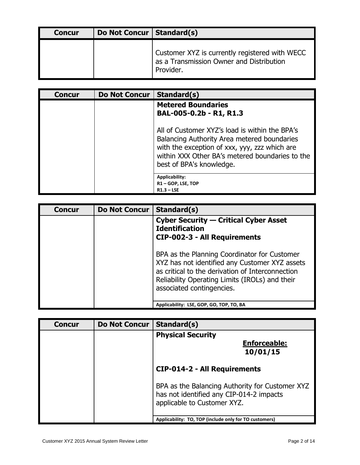| <b>Concur</b> | Do Not Concur   Standard(s) |                                                                                                         |
|---------------|-----------------------------|---------------------------------------------------------------------------------------------------------|
|               |                             | Customer XYZ is currently registered with WECC<br>as a Transmission Owner and Distribution<br>Provider. |

| <b>Concur</b> | <b>Do Not Concur</b> | Standard(s)                                                                                                                                                                                                                   |
|---------------|----------------------|-------------------------------------------------------------------------------------------------------------------------------------------------------------------------------------------------------------------------------|
|               |                      | <b>Metered Boundaries</b><br>BAL-005-0.2b - R1, R1.3                                                                                                                                                                          |
|               |                      | All of Customer XYZ's load is within the BPA's<br>Balancing Authority Area metered boundaries<br>with the exception of xxx, yyy, zzz which are<br>within XXX Other BA's metered boundaries to the<br>best of BPA's knowledge. |
|               |                      | Applicability:<br>R1-GOP, LSE, TOP                                                                                                                                                                                            |
|               |                      | $R1.3 - LSE$                                                                                                                                                                                                                  |

| Concur | <b>Do Not Concur</b> | Standard(s)                                                                                                                                                                                                                       |
|--------|----------------------|-----------------------------------------------------------------------------------------------------------------------------------------------------------------------------------------------------------------------------------|
|        |                      | <b>Cyber Security – Critical Cyber Asset</b><br><b>Identification</b><br><b>CIP-002-3 - All Requirements</b>                                                                                                                      |
|        |                      | BPA as the Planning Coordinator for Customer<br>XYZ has not identified any Customer XYZ assets<br>as critical to the derivation of Interconnection<br>Reliability Operating Limits (IROLs) and their<br>associated contingencies. |
|        |                      | Applicability: LSE, GOP, GO, TOP, TO, BA                                                                                                                                                                                          |

| <b>Concur</b> | <b>Do Not Concur</b> | Standard(s)                                                                                                                |
|---------------|----------------------|----------------------------------------------------------------------------------------------------------------------------|
|               |                      | <b>Physical Security</b>                                                                                                   |
|               |                      | <b>Enforceable:</b>                                                                                                        |
|               |                      | 10/01/15                                                                                                                   |
|               |                      | <b>CIP-014-2 - All Requirements</b>                                                                                        |
|               |                      | BPA as the Balancing Authority for Customer XYZ<br>has not identified any CIP-014-2 impacts<br>applicable to Customer XYZ. |
|               |                      | Applicability: TO, TOP (include only for TO customers)                                                                     |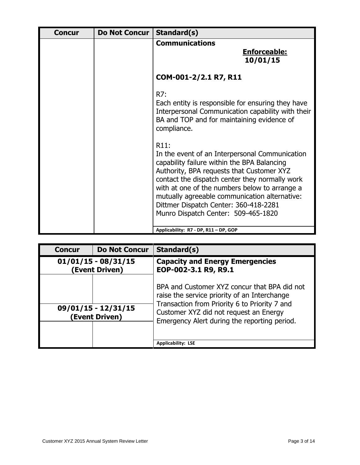| <b>Concur</b> | Do Not Concur | Standard(s)                                                                                                                                                                                                                                                                                                                                                                            |
|---------------|---------------|----------------------------------------------------------------------------------------------------------------------------------------------------------------------------------------------------------------------------------------------------------------------------------------------------------------------------------------------------------------------------------------|
|               |               | <b>Communications</b><br><b>Enforceable:</b><br>10/01/15                                                                                                                                                                                                                                                                                                                               |
|               |               | COM-001-2/2.1 R7, R11                                                                                                                                                                                                                                                                                                                                                                  |
|               |               | R7:<br>Each entity is responsible for ensuring they have<br>Interpersonal Communication capability with their<br>BA and TOP and for maintaining evidence of<br>compliance.                                                                                                                                                                                                             |
|               |               | R11:<br>In the event of an Interpersonal Communication<br>capability failure within the BPA Balancing<br>Authority, BPA requests that Customer XYZ<br>contact the dispatch center they normally work<br>with at one of the numbers below to arrange a<br>mutually agreeable communication alternative:<br>Dittmer Dispatch Center: 360-418-2281<br>Munro Dispatch Center: 509-465-1820 |
|               |               | Applicability: R7 - DP, R11 - DP, GOP                                                                                                                                                                                                                                                                                                                                                  |

| <b>Concur</b>                           | <b>Do Not Concur</b>                  | Standard(s)                                                                                                                                                                                                                             |
|-----------------------------------------|---------------------------------------|-----------------------------------------------------------------------------------------------------------------------------------------------------------------------------------------------------------------------------------------|
| $01/01/15 - 08/31/15$<br>(Event Driven) |                                       | <b>Capacity and Energy Emergencies</b><br>EOP-002-3.1 R9, R9.1                                                                                                                                                                          |
|                                         | 09/01/15 - 12/31/15<br>(Event Driven) | BPA and Customer XYZ concur that BPA did not<br>raise the service priority of an Interchange<br>Transaction from Priority 6 to Priority 7 and<br>Customer XYZ did not request an Energy<br>Emergency Alert during the reporting period. |
|                                         |                                       | <b>Applicability: LSE</b>                                                                                                                                                                                                               |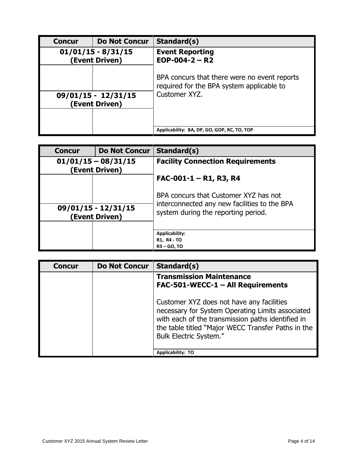| <b>Concur</b>                          | <b>Do Not Concur</b>  | Standard(s)                                                                                                |
|----------------------------------------|-----------------------|------------------------------------------------------------------------------------------------------------|
| $01/01/15 - 8/31/15$<br>(Event Driven) |                       | <b>Event Reporting</b><br>$EOP-004-2 - R2$                                                                 |
|                                        | $09/01/15 - 12/31/15$ | BPA concurs that there were no event reports<br>required for the BPA system applicable to<br>Customer XYZ. |
| (Event Driven)                         |                       |                                                                                                            |
|                                        |                       |                                                                                                            |
|                                        |                       | Applicability: BA, DP, GO, GOP, RC, TO, TOP                                                                |

| <b>Concur</b>                           | <b>Do Not Concur</b> | Standard(s)                                                                         |
|-----------------------------------------|----------------------|-------------------------------------------------------------------------------------|
| $01/01/15 - 08/31/15$<br>(Event Driven) |                      | <b>Facility Connection Requirements</b>                                             |
|                                         |                      | $FAC-001-1 - R1, R3, R4$                                                            |
|                                         |                      | BPA concurs that Customer XYZ has not                                               |
| 09/01/15 - 12/31/15<br>(Event Driven)   |                      | interconnected any new facilities to the BPA<br>system during the reporting period. |
|                                         |                      | Applicability:<br>R1. R4 - TO<br><b>R3-GO, TO</b>                                   |

| <b>Concur</b> | <b>Do Not Concur</b> | Standard(s)                                                                                                                                                                                                                               |
|---------------|----------------------|-------------------------------------------------------------------------------------------------------------------------------------------------------------------------------------------------------------------------------------------|
|               |                      | <b>Transmission Maintenance</b><br>FAC-501-WECC-1 - All Requirements                                                                                                                                                                      |
|               |                      | Customer XYZ does not have any facilities<br>necessary for System Operating Limits associated<br>with each of the transmission paths identified in<br>the table titled "Major WECC Transfer Paths in the<br><b>Bulk Electric System."</b> |
|               |                      | Applicability: TO                                                                                                                                                                                                                         |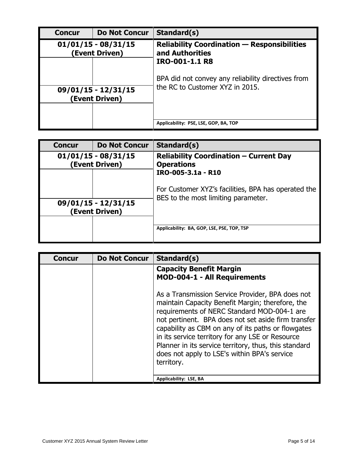| <b>Concur</b>                           | <b>Do Not Concur</b> | Standard(s)                                                                 |
|-----------------------------------------|----------------------|-----------------------------------------------------------------------------|
| $01/01/15 - 08/31/15$<br>(Event Driven) |                      | <b>Reliability Coordination - Responsibilities</b><br>and Authorities       |
|                                         |                      | <b>IRO-001-1.1 R8</b><br>BPA did not convey any reliability directives from |
| $09/01/15 - 12/31/15$<br>(Event Driven) |                      | the RC to Customer XYZ in 2015.                                             |
|                                         |                      | Applicability: PSE, LSE, GOP, BA, TOP                                       |

| <b>Concur</b>                           | <b>Do Not Concur</b> | Standard(s)                                                               |
|-----------------------------------------|----------------------|---------------------------------------------------------------------------|
| $01/01/15 - 08/31/15$<br>(Event Driven) |                      | <b>Reliability Coordination - Current Day</b><br><b>Operations</b>        |
|                                         |                      | IRO-005-3.1a - R10<br>For Customer XYZ's facilities, BPA has operated the |
| 09/01/15 - 12/31/15<br>(Event Driven)   |                      | BES to the most limiting parameter.                                       |
|                                         |                      | Applicability: BA, GOP, LSE, PSE, TOP, TSP                                |

| <b>Concur</b> | <b>Do Not Concur</b> | Standard(s)                                                                                                                                                                                                                                                                                                                                                                                                                                 |
|---------------|----------------------|---------------------------------------------------------------------------------------------------------------------------------------------------------------------------------------------------------------------------------------------------------------------------------------------------------------------------------------------------------------------------------------------------------------------------------------------|
|               |                      | <b>Capacity Benefit Margin</b><br><b>MOD-004-1 - All Requirements</b>                                                                                                                                                                                                                                                                                                                                                                       |
|               |                      | As a Transmission Service Provider, BPA does not<br>maintain Capacity Benefit Margin; therefore, the<br>requirements of NERC Standard MOD-004-1 are<br>not pertinent. BPA does not set aside firm transfer<br>capability as CBM on any of its paths or flowgates<br>in its service territory for any LSE or Resource<br>Planner in its service territory, thus, this standard<br>does not apply to LSE's within BPA's service<br>territory. |
|               |                      | Applicability: LSE, BA                                                                                                                                                                                                                                                                                                                                                                                                                      |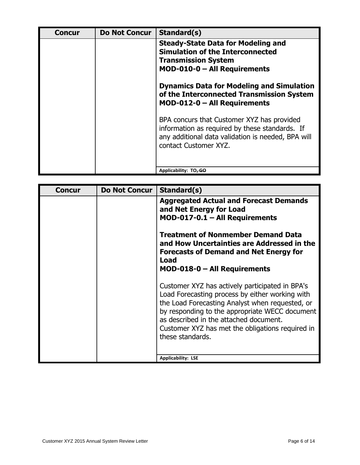| Concur | <b>Do Not Concur</b> | Standard(s)                                                                                                                                                                 |
|--------|----------------------|-----------------------------------------------------------------------------------------------------------------------------------------------------------------------------|
|        |                      | <b>Steady-State Data for Modeling and</b><br><b>Simulation of the Interconnected</b><br><b>Transmission System</b><br>MOD-010-0 - All Requirements                          |
|        |                      | <b>Dynamics Data for Modeling and Simulation</b><br>of the Interconnected Transmission System<br>MOD-012-0 - All Requirements                                               |
|        |                      | BPA concurs that Customer XYZ has provided<br>information as required by these standards. If<br>any additional data validation is needed, BPA will<br>contact Customer XYZ. |
|        |                      | Applicability: TO, GO                                                                                                                                                       |

| <b>Concur</b> | <b>Do Not Concur</b> | Standard(s)                                                                                                                                                                                                                                                                                                               |
|---------------|----------------------|---------------------------------------------------------------------------------------------------------------------------------------------------------------------------------------------------------------------------------------------------------------------------------------------------------------------------|
|               |                      | <b>Aggregated Actual and Forecast Demands</b><br>and Net Energy for Load<br>$MOD-017-0.1 - All Requirements$                                                                                                                                                                                                              |
|               |                      | <b>Treatment of Nonmember Demand Data</b><br>and How Uncertainties are Addressed in the<br><b>Forecasts of Demand and Net Energy for</b><br><b>Load</b><br>MOD-018-0 - All Requirements                                                                                                                                   |
|               |                      | Customer XYZ has actively participated in BPA's<br>Load Forecasting process by either working with<br>the Load Forecasting Analyst when requested, or<br>by responding to the appropriate WECC document<br>as described in the attached document.<br>Customer XYZ has met the obligations required in<br>these standards. |
|               |                      | <b>Applicability: LSE</b>                                                                                                                                                                                                                                                                                                 |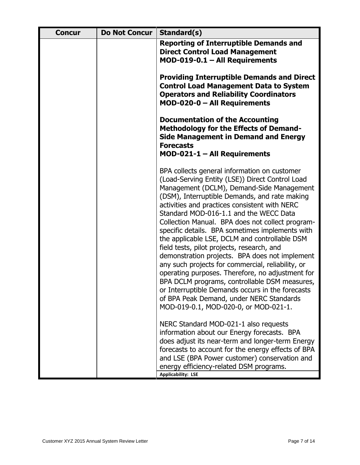| <b>Concur</b> | <b>Do Not Concur</b> | Standard(s)                                                                                                                                                                                                                                                                                                                                                                                                                                                                                                                                                                                                                                                                                                                                                                                                                                         |
|---------------|----------------------|-----------------------------------------------------------------------------------------------------------------------------------------------------------------------------------------------------------------------------------------------------------------------------------------------------------------------------------------------------------------------------------------------------------------------------------------------------------------------------------------------------------------------------------------------------------------------------------------------------------------------------------------------------------------------------------------------------------------------------------------------------------------------------------------------------------------------------------------------------|
|               |                      | <b>Reporting of Interruptible Demands and</b><br><b>Direct Control Load Management</b><br>MOD-019-0.1 - All Requirements                                                                                                                                                                                                                                                                                                                                                                                                                                                                                                                                                                                                                                                                                                                            |
|               |                      | <b>Providing Interruptible Demands and Direct</b><br><b>Control Load Management Data to System</b><br><b>Operators and Reliability Coordinators</b><br>MOD-020-0 - All Requirements                                                                                                                                                                                                                                                                                                                                                                                                                                                                                                                                                                                                                                                                 |
|               |                      | <b>Documentation of the Accounting</b><br><b>Methodology for the Effects of Demand-</b><br><b>Side Management in Demand and Energy</b><br><b>Forecasts</b><br>MOD-021-1 - All Requirements                                                                                                                                                                                                                                                                                                                                                                                                                                                                                                                                                                                                                                                          |
|               |                      | BPA collects general information on customer<br>(Load-Serving Entity (LSE)) Direct Control Load<br>Management (DCLM), Demand-Side Management<br>(DSM), Interruptible Demands, and rate making<br>activities and practices consistent with NERC<br>Standard MOD-016-1.1 and the WECC Data<br>Collection Manual. BPA does not collect program-<br>specific details. BPA sometimes implements with<br>the applicable LSE, DCLM and controllable DSM<br>field tests, pilot projects, research, and<br>demonstration projects. BPA does not implement<br>any such projects for commercial, reliability, or<br>operating purposes. Therefore, no adjustment for<br>BPA DCLM programs, controllable DSM measures,<br>or Interruptible Demands occurs in the forecasts<br>of BPA Peak Demand, under NERC Standards<br>MOD-019-0.1, MOD-020-0, or MOD-021-1. |
|               |                      | NERC Standard MOD-021-1 also requests<br>information about our Energy forecasts. BPA<br>does adjust its near-term and longer-term Energy<br>forecasts to account for the energy effects of BPA<br>and LSE (BPA Power customer) conservation and<br>energy efficiency-related DSM programs.<br><b>Applicability: LSE</b>                                                                                                                                                                                                                                                                                                                                                                                                                                                                                                                             |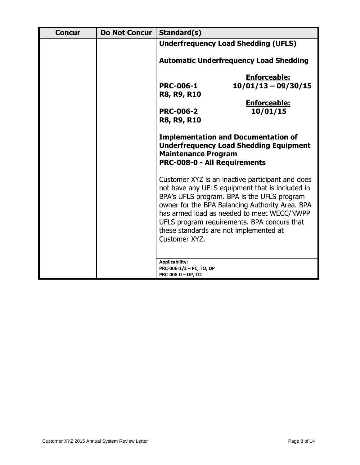| <b>Concur</b> | <b>Do Not Concur</b> | Standard(s)                                                                                                                                                                                                                                                                                                                                                   |
|---------------|----------------------|---------------------------------------------------------------------------------------------------------------------------------------------------------------------------------------------------------------------------------------------------------------------------------------------------------------------------------------------------------------|
|               |                      | <b>Underfrequency Load Shedding (UFLS)</b>                                                                                                                                                                                                                                                                                                                    |
|               |                      | <b>Automatic Underfrequency Load Shedding</b>                                                                                                                                                                                                                                                                                                                 |
|               |                      | <b>Enforceable:</b><br><b>PRC-006-1</b><br>$10/01/13 - 09/30/15$<br><b>R8, R9, R10</b><br><b>Enforceable:</b><br><b>PRC-006-2</b><br>10/01/15<br><b>R8, R9, R10</b>                                                                                                                                                                                           |
|               |                      | <b>Implementation and Documentation of</b><br><b>Underfrequency Load Shedding Equipment</b><br><b>Maintenance Program</b><br>PRC-008-0 - All Requirements                                                                                                                                                                                                     |
|               |                      | Customer XYZ is an inactive participant and does<br>not have any UFLS equipment that is included in<br>BPA's UFLS program. BPA is the UFLS program<br>owner for the BPA Balancing Authority Area. BPA<br>has armed load as needed to meet WECC/NWPP<br>UFLS program requirements. BPA concurs that<br>these standards are not implemented at<br>Customer XYZ. |
|               |                      | Applicability:<br>PRC-006-1/2 - PC, TO, DP<br>PRC-008-0 - DP, TO                                                                                                                                                                                                                                                                                              |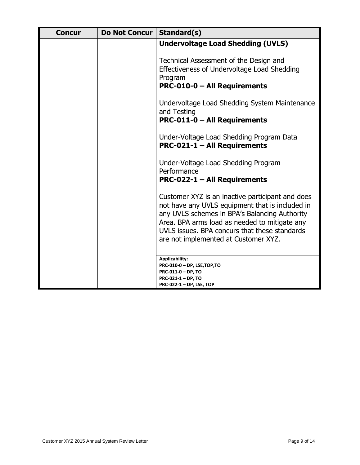| <b>Concur</b> | Do Not Concur | Standard(s)                                                                                                                                                                                                                                                                                    |
|---------------|---------------|------------------------------------------------------------------------------------------------------------------------------------------------------------------------------------------------------------------------------------------------------------------------------------------------|
|               |               | <b>Undervoltage Load Shedding (UVLS)</b>                                                                                                                                                                                                                                                       |
|               |               | Technical Assessment of the Design and<br>Effectiveness of Undervoltage Load Shedding<br>Program<br><b>PRC-010-0 - All Requirements</b>                                                                                                                                                        |
|               |               | Undervoltage Load Shedding System Maintenance<br>and Testing<br><b>PRC-011-0 - All Requirements</b>                                                                                                                                                                                            |
|               |               | Under-Voltage Load Shedding Program Data<br><b>PRC-021-1 - All Requirements</b>                                                                                                                                                                                                                |
|               |               | Under-Voltage Load Shedding Program<br>Performance<br><b>PRC-022-1 - All Requirements</b>                                                                                                                                                                                                      |
|               |               | Customer XYZ is an inactive participant and does<br>not have any UVLS equipment that is included in<br>any UVLS schemes in BPA's Balancing Authority<br>Area. BPA arms load as needed to mitigate any<br>UVLS issues. BPA concurs that these standards<br>are not implemented at Customer XYZ. |
|               |               | <b>Applicability:</b><br>PRC-010-0 - DP, LSE, TOP, TO<br>PRC-011-0 - DP, TO<br>PRC-021-1 - DP, TO<br>PRC-022-1 - DP, LSE, TOP                                                                                                                                                                  |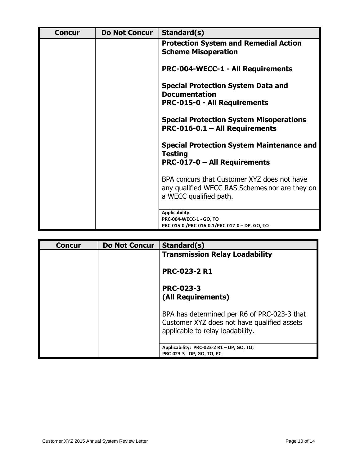| <b>Concur</b> | <b>Do Not Concur</b> | Standard(s)                                                                                                             |
|---------------|----------------------|-------------------------------------------------------------------------------------------------------------------------|
|               |                      | <b>Protection System and Remedial Action</b><br><b>Scheme Misoperation</b>                                              |
|               |                      | <b>PRC-004-WECC-1 - All Requirements</b>                                                                                |
|               |                      | <b>Special Protection System Data and</b><br><b>Documentation</b><br><b>PRC-015-0 - All Requirements</b>                |
|               |                      | <b>Special Protection System Misoperations</b><br>$PRC-016-0.1 - All Requirements$                                      |
|               |                      | <b>Special Protection System Maintenance and</b><br>Testing<br><b>PRC-017-0 - All Requirements</b>                      |
|               |                      | BPA concurs that Customer XYZ does not have<br>any qualified WECC RAS Schemes nor are they on<br>a WECC qualified path. |
|               |                      | <b>Applicability:</b><br>PRC-004-WECC-1 - GO, TO<br>PRC-015-0 /PRC-016-0.1/PRC-017-0 - DP, GO, TO                       |

| <b>Concur</b> | <b>Do Not Concur</b> | Standard(s)                                                                                                                    |
|---------------|----------------------|--------------------------------------------------------------------------------------------------------------------------------|
|               |                      | <b>Transmission Relay Loadability</b>                                                                                          |
|               |                      | <b>PRC-023-2 R1</b>                                                                                                            |
|               |                      | <b>PRC-023-3</b><br>(All Requirements)                                                                                         |
|               |                      | BPA has determined per R6 of PRC-023-3 that<br>Customer XYZ does not have qualified assets<br>applicable to relay loadability. |
|               |                      | Applicability: PRC-023-2 R1 - DP, GO, TO;                                                                                      |
|               |                      | PRC-023-3 - DP, GO, TO, PC                                                                                                     |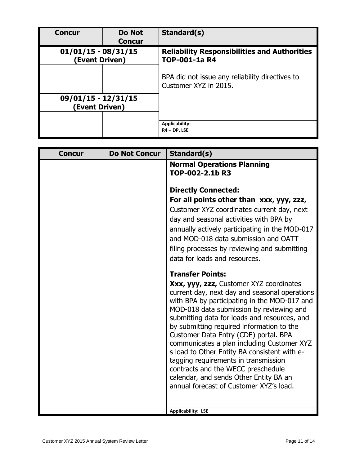| <b>Concur</b>                           | <b>Do Not</b><br><b>Concur</b> | Standard(s)                                                              |
|-----------------------------------------|--------------------------------|--------------------------------------------------------------------------|
| $01/01/15 - 08/31/15$<br>(Event Driven) |                                | <b>Reliability Responsibilities and Authorities</b><br>TOP-001-1a R4     |
|                                         |                                | BPA did not issue any reliability directives to<br>Customer XYZ in 2015. |
| 09/01/15 - 12/31/15<br>(Event Driven)   |                                |                                                                          |
|                                         |                                | Applicability:<br>$R4 - DP$ . LSE                                        |

| <b>Concur</b> | <b>Do Not Concur</b> | Standard(s)                                                                                                                                                                                                                                                                                                                                                                                                                                                                                                                                                                                                            |
|---------------|----------------------|------------------------------------------------------------------------------------------------------------------------------------------------------------------------------------------------------------------------------------------------------------------------------------------------------------------------------------------------------------------------------------------------------------------------------------------------------------------------------------------------------------------------------------------------------------------------------------------------------------------------|
|               |                      | <b>Normal Operations Planning</b><br>TOP-002-2.1b R3                                                                                                                                                                                                                                                                                                                                                                                                                                                                                                                                                                   |
|               |                      | <b>Directly Connected:</b>                                                                                                                                                                                                                                                                                                                                                                                                                                                                                                                                                                                             |
|               |                      | For all points other than xxx, yyy, zzz,<br>Customer XYZ coordinates current day, next<br>day and seasonal activities with BPA by<br>annually actively participating in the MOD-017<br>and MOD-018 data submission and OATT<br>filing processes by reviewing and submitting<br>data for loads and resources.                                                                                                                                                                                                                                                                                                           |
|               |                      | <b>Transfer Points:</b><br>Xxx, yyy, zzz, Customer XYZ coordinates<br>current day, next day and seasonal operations<br>with BPA by participating in the MOD-017 and<br>MOD-018 data submission by reviewing and<br>submitting data for loads and resources, and<br>by submitting required information to the<br>Customer Data Entry (CDE) portal. BPA<br>communicates a plan including Customer XYZ<br>s load to Other Entity BA consistent with e-<br>tagging requirements in transmission<br>contracts and the WECC preschedule<br>calendar, and sends Other Entity BA an<br>annual forecast of Customer XYZ's load. |
|               |                      | <b>Applicability: LSE</b>                                                                                                                                                                                                                                                                                                                                                                                                                                                                                                                                                                                              |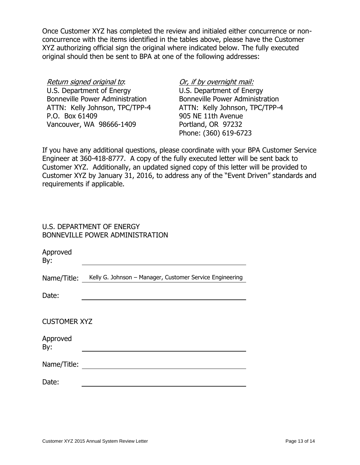Once Customer XYZ has completed the review and initialed either concurrence or nonconcurrence with the items identified in the tables above, please have the Customer XYZ authorizing official sign the original where indicated below. The fully executed original should then be sent to BPA at one of the following addresses:

Return signed original to: U.S. Department of Energy Bonneville Power Administration ATTN: Kelly Johnson, TPC/TPP-4 P.O. Box 61409 Vancouver, WA 98666-1409

Or, if by overnight mail:

U.S. Department of Energy Bonneville Power Administration ATTN: Kelly Johnson, TPC/TPP-4 905 NE 11th Avenue Portland, OR 97232 Phone: (360) 619-6723

If you have any additional questions, please coordinate with your BPA Customer Service Engineer at 360-418-8777. A copy of the fully executed letter will be sent back to Customer XYZ. Additionally, an updated signed copy of this letter will be provided to Customer XYZ by January 31, 2016, to address any of the "Event Driven" standards and requirements if applicable.

## U.S. DEPARTMENT OF ENERGY BONNEVILLE POWER ADMINISTRATION

| Approved<br>By:     |                                                          |
|---------------------|----------------------------------------------------------|
| Name/Title:         | Kelly G. Johnson - Manager, Customer Service Engineering |
| Date:               |                                                          |
| <b>CUSTOMER XYZ</b> |                                                          |
| Approved<br>By:     |                                                          |
| Name/Title:         |                                                          |
| Date:               |                                                          |